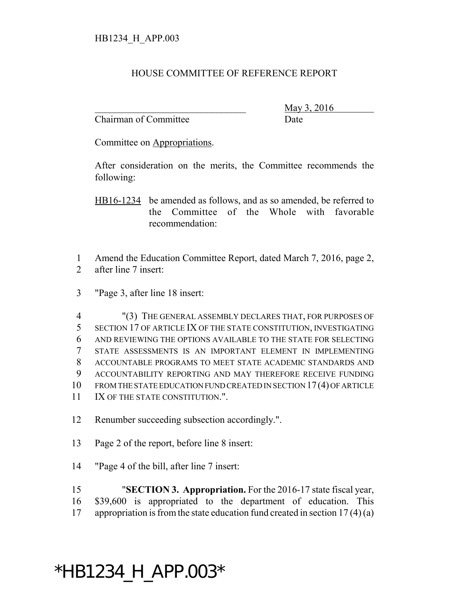## HOUSE COMMITTEE OF REFERENCE REPORT

Chairman of Committee Date

\_\_\_\_\_\_\_\_\_\_\_\_\_\_\_\_\_\_\_\_\_\_\_\_\_\_\_\_\_\_\_ May 3, 2016

Committee on Appropriations.

After consideration on the merits, the Committee recommends the following:

HB16-1234 be amended as follows, and as so amended, be referred to the Committee of the Whole with favorable recommendation:

1 Amend the Education Committee Report, dated March 7, 2016, page 2, 2 after line 7 insert:

3 "Page 3, after line 18 insert:

 "(3) THE GENERAL ASSEMBLY DECLARES THAT, FOR PURPOSES OF SECTION 17 OF ARTICLE IX OF THE STATE CONSTITUTION, INVESTIGATING AND REVIEWING THE OPTIONS AVAILABLE TO THE STATE FOR SELECTING STATE ASSESSMENTS IS AN IMPORTANT ELEMENT IN IMPLEMENTING ACCOUNTABLE PROGRAMS TO MEET STATE ACADEMIC STANDARDS AND ACCOUNTABILITY REPORTING AND MAY THEREFORE RECEIVE FUNDING FROM THE STATE EDUCATION FUND CREATED IN SECTION 17(4) OF ARTICLE 11 IX OF THE STATE CONSTITUTION.".

12 Renumber succeeding subsection accordingly.".

- 13 Page 2 of the report, before line 8 insert:
- 14 "Page 4 of the bill, after line 7 insert:

15 "**SECTION 3. Appropriation.** For the 2016-17 state fiscal year, 16 \$39,600 is appropriated to the department of education. This 17 appropriation is from the state education fund created in section  $17(4)(a)$ 

## \*HB1234\_H\_APP.003\*